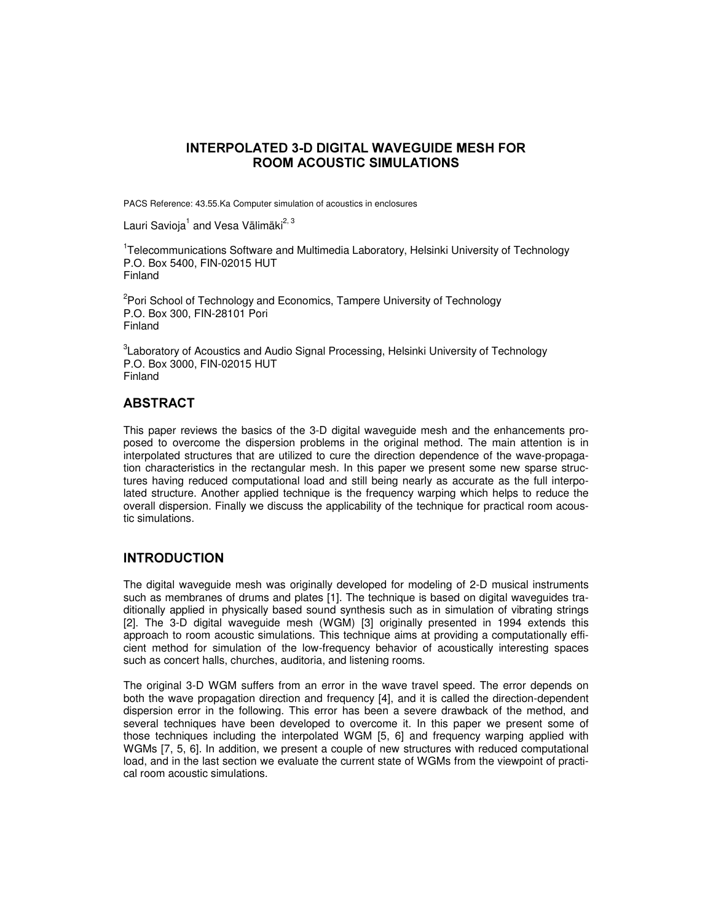# INTERPOLATED 3-D DIGITAL WAVEGUIDE MESH FOR **ROOM ACOUSTIC SIMULATIONS**

PACS Reference: 43.55.Ka Computer simulation of acoustics in enclosures

Lauri Savioja<sup>1</sup> and Vesa Välimäki<sup>2, 3</sup>

<sup>1</sup>Telecommunications Software and Multimedia Laboratory, Helsinki University of Technology P.O. Box 5400, FIN-02015 HUT Finland

<sup>2</sup>Pori School of Technology and Economics, Tampere University of Technology P.O. Box 300, FIN-28101 Pori Finland

 ${}^{3}$ Laboratory of Acoustics and Audio Signal Processing, Helsinki University of Technology P.O. Box 3000, FIN-02015 HUT Finland

# **ABSTRACT**

This paper reviews the basics of the 3-D digital waveguide mesh and the enhancements proposed to overcome the dispersion problems in the original method. The main attention is in interpolated structures that are utilized to cure the direction dependence of the wave-propagation characteristics in the rectangular mesh. In this paper we present some new sparse structures having reduced computational load and still being nearly as accurate as the full interpolated structure. Another applied technique is the frequency warping which helps to reduce the overall dispersion. Finally we discuss the applicability of the technique for practical room acoustic simulations.

## **INTRODUCTION**

The digital waveguide mesh was originally developed for modeling of 2-D musical instruments such as membranes of drums and plates [1]. The technique is based on digital waveguides traditionally applied in physically based sound synthesis such as in simulation of vibrating strings [2]. The 3-D digital waveguide mesh (WGM) [3] originally presented in 1994 extends this approach to room acoustic simulations. This technique aims at providing a computationally efficient method for simulation of the low-frequency behavior of acoustically interesting spaces such as concert halls, churches, auditoria, and listening rooms.

The original 3-D WGM suffers from an error in the wave travel speed. The error depends on both the wave propagation direction and frequency [4], and it is called the direction-dependent dispersion error in the following. This error has been a severe drawback of the method, and several techniques have been developed to overcome it. In this paper we present some of those techniques including the interpolated WGM [5, 6] and frequency warping applied with WGMs [7, 5, 6]. In addition, we present a couple of new structures with reduced computational load, and in the last section we evaluate the current state of WGMs from the viewpoint of practical room acoustic simulations.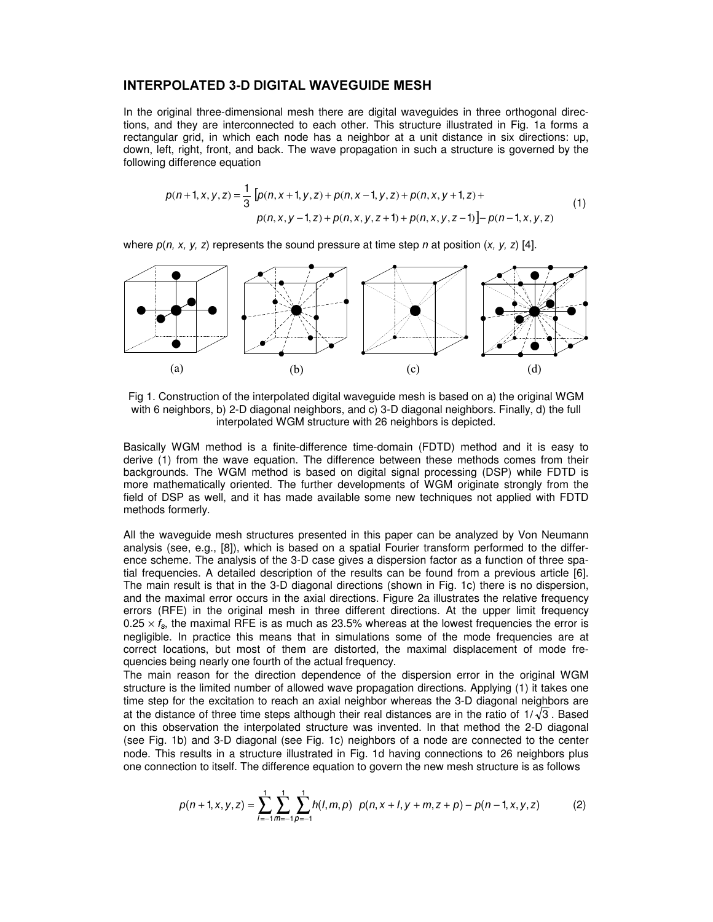#### INTERPOLATED 3-D DIGITAL WAVEGUIDE MESH

In the original three-dimensional mesh there are digital waveguides in three orthogonal directions, and they are interconnected to each other. This structure illustrated in Fig. 1a forms a rectangular grid, in which each node has a neighbor at a unit distance in six directions: up, down, left, right, front, and back. The wave propagation in such a structure is governed by the following difference equation

$$
p(n+1, x, y, z) = \frac{1}{3} \left[ p(n, x+1, y, z) + p(n, x-1, y, z) + p(n, x, y+1, z) + p(n, x, y-1, z) + p(n, x, y, z+1) + p(n, x, y, z-1) \right] - p(n-1, x, y, z)
$$
\n(1)

where  $p(n, x, y, z)$  represents the sound pressure at time step n at position  $(x, y, z)$  [4].



Fig 1. Construction of the interpolated digital waveguide mesh is based on a) the original WGM with 6 neighbors, b) 2-D diagonal neighbors, and c) 3-D diagonal neighbors. Finally, d) the full interpolated WGM structure with 26 neighbors is depicted.

Basically WGM method is a finite-difference time-domain (FDTD) method and it is easy to derive (1) from the wave equation. The difference between these methods comes from their backgrounds. The WGM method is based on digital signal processing (DSP) while FDTD is more mathematically oriented. The further developments of WGM originate strongly from the field of DSP as well, and it has made available some new techniques not applied with FDTD methods formerly.

All the waveguide mesh structures presented in this paper can be analyzed by Von Neumann analysis (see, e.g., [8]), which is based on a spatial Fourier transform performed to the difference scheme. The analysis of the 3-D case gives a dispersion factor as a function of three spatial frequencies. A detailed description of the results can be found from a previous article [6]. The main result is that in the 3-D diagonal directions (shown in Fig. 1c) there is no dispersion, and the maximal error occurs in the axial directions. Figure 2a illustrates the relative frequency errors (RFE) in the original mesh in three different directions. At the upper limit frequency 0.25  $\times$   $f_{\rm s}$ , the maximal RFE is as much as 23.5% whereas at the lowest frequencies the error is negligible. In practice this means that in simulations some of the mode frequencies are at correct locations, but most of them are distorted, the maximal displacement of mode frequencies being nearly one fourth of the actual frequency.

The main reason for the direction dependence of the dispersion error in the original WGM structure is the limited number of allowed wave propagation directions. Applying (1) it takes one time step for the excitation to reach an axial neighbor whereas the 3-D diagonal neighbors are at the distance of three time steps although their real distances are in the ratio of  $1/\sqrt{3}$ . Based on this observation the interpolated structure was invented. In that method the 2-D diagonal (see Fig. 1b) and 3-D diagonal (see Fig. 1c) neighbors of a node are connected to the center node. This results in a structure illustrated in Fig. 1d having connections to 26 neighbors plus one connection to itself. The difference equation to govern the new mesh structure is as follows

$$
p(n+1,x,y,z) = \sum_{l=-1}^{1} \sum_{m=-1}^{1} \sum_{p=-1}^{1} h(l,m,p) \ p(n,x+l,y+m,z+p) - p(n-1,x,y,z) \qquad (2)
$$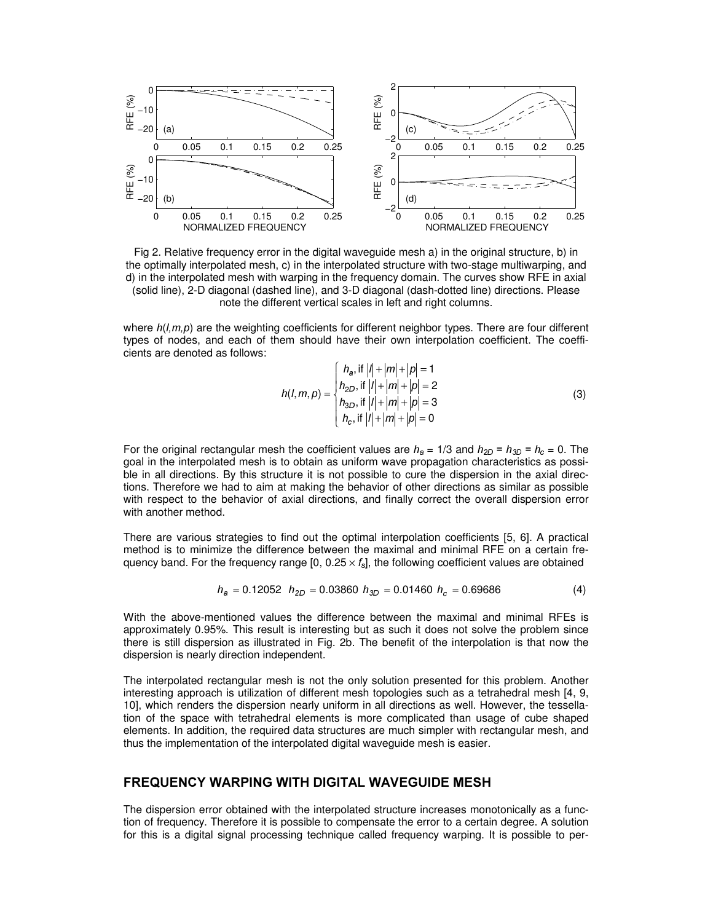

Fig 2. Relative frequency error in the digital waveguide mesh a) in the original structure, b) in the optimally interpolated mesh, c) in the interpolated structure with two-stage multiwarping, and d) in the interpolated mesh with warping in the frequency domain. The curves show RFE in axial (solid line), 2-D diagonal (dashed line), and 3-D diagonal (dash-dotted line) directions. Please note the different vertical scales in left and right columns.

where  $h(l,m,p)$  are the weighting coefficients for different neighbor types. There are four different types of nodes, and each of them should have their own interpolation coefficient. The coefficients are denoted as follows:

$$
h(l,m,p) = \begin{cases} h_a, \text{ if } |l| + |m| + |p| = 1 \\ h_{2D}, \text{ if } |l| + |m| + |p| = 2 \\ h_{3D}, \text{ if } |l| + |m| + |p| = 3 \\ h_c, \text{ if } |l| + |m| + |p| = 0 \end{cases}
$$
(3)

For the original rectangular mesh the coefficient values are  $h_a = 1/3$  and  $h_{2D} = h_{3D} = h_c = 0$ . The goal in the interpolated mesh is to obtain as uniform wave propagation characteristics as possible in all directions. By this structure it is not possible to cure the dispersion in the axial directions. Therefore we had to aim at making the behavior of other directions as similar as possible with respect to the behavior of axial directions, and finally correct the overall dispersion error with another method.

There are various strategies to find out the optimal interpolation coefficients [5, 6]. A practical method is to minimize the difference between the maximal and minimal RFE on a certain frequency band. For the frequency range [0, 0.25  $\times$   $f_{\rm s}$ ], the following coefficient values are obtained

$$
h_a = 0.12052 \quad h_{2D} = 0.03860 \quad h_{3D} = 0.01460 \quad h_c = 0.69686 \tag{4}
$$

With the above-mentioned values the difference between the maximal and minimal RFEs is approximately 0.95%. This result is interesting but as such it does not solve the problem since there is still dispersion as illustrated in Fig. 2b. The benefit of the interpolation is that now the dispersion is nearly direction independent.

The interpolated rectangular mesh is not the only solution presented for this problem. Another interesting approach is utilization of different mesh topologies such as a tetrahedral mesh [4, 9, 10], which renders the dispersion nearly uniform in all directions as well. However, the tessellation of the space with tetrahedral elements is more complicated than usage of cube shaped elements. In addition, the required data structures are much simpler with rectangular mesh, and thus the implementation of the interpolated digital waveguide mesh is easier.

### **FREQUENCY WARPING WITH DIGITAL WAVEGUIDE MESH**

The dispersion error obtained with the interpolated structure increases monotonically as a function of frequency. Therefore it is possible to compensate the error to a certain degree. A solution for this is a digital signal processing technique called frequency warping. It is possible to per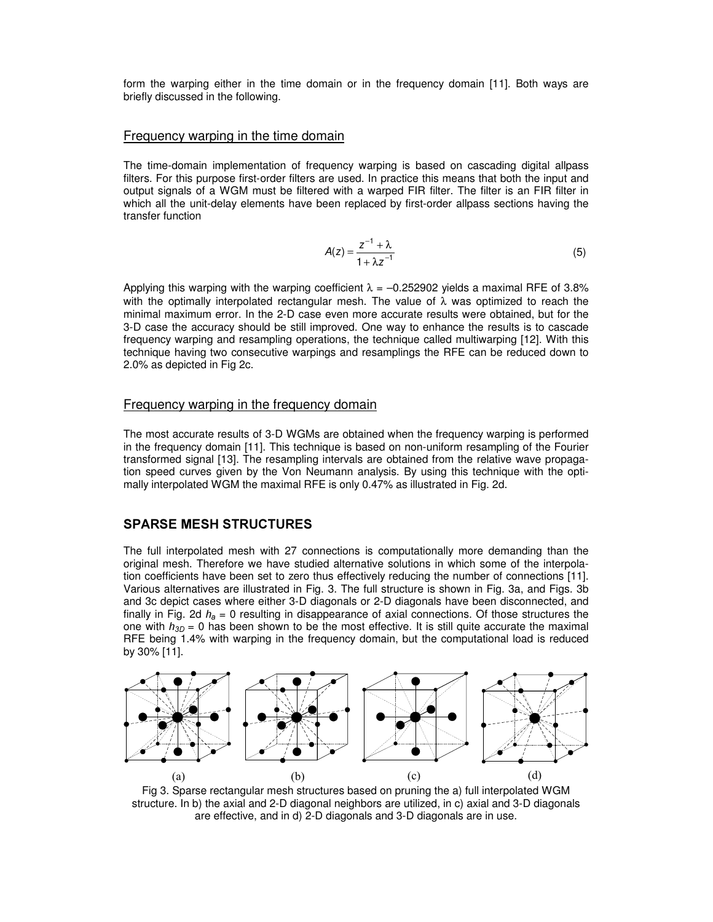form the warping either in the time domain or in the frequency domain [11]. Both ways are briefly discussed in the following.

#### Frequency warping in the time domain

The time-domain implementation of frequency warping is based on cascading digital allpass filters. For this purpose first-order filters are used. In practice this means that both the input and output signals of a WGM must be filtered with a warped FIR filter. The filter is an FIR filter in which all the unit-delay elements have been replaced by first-order allpass sections having the transfer function

$$
A(z) = \frac{z^{-1} + \lambda}{1 + \lambda z^{-1}}\tag{5}
$$

Applying this warping with the warping coefficient  $\lambda = -0.252902$  yields a maximal RFE of 3.8% with the optimally interpolated rectangular mesh. The value of  $\lambda$  was optimized to reach the minimal maximum error. In the 2-D case even more accurate results were obtained, but for the 3-D case the accuracy should be still improved. One way to enhance the results is to cascade frequency warping and resampling operations, the technique called multiwarping [12]. With this technique having two consecutive warpings and resamplings the RFE can be reduced down to 2.0% as depicted in Fig 2c.

#### Frequency warping in the frequency domain

The most accurate results of 3-D WGMs are obtained when the frequency warping is performed in the frequency domain [11]. This technique is based on non-uniform resampling of the Fourier transformed signal [13]. The resampling intervals are obtained from the relative wave propagation speed curves given by the Von Neumann analysis. By using this technique with the optimally interpolated WGM the maximal RFE is only 0.47% as illustrated in Fig. 2d.

#### **SPARSE MESH STRUCTURES**

The full interpolated mesh with 27 connections is computationally more demanding than the original mesh. Therefore we have studied alternative solutions in which some of the interpolation coefficients have been set to zero thus effectively reducing the number of connections [11]. Various alternatives are illustrated in Fig. 3. The full structure is shown in Fig. 3a, and Figs. 3b and 3c depict cases where either 3-D diagonals or 2-D diagonals have been disconnected, and finally in Fig. 2d  $h_a = 0$  resulting in disappearance of axial connections. Of those structures the one with  $h_{3D} = 0$  has been shown to be the most effective. It is still quite accurate the maximal RFE being 1.4% with warping in the frequency domain, but the computational load is reduced by 30% [11].



Fig 3. Sparse rectangular mesh structures based on pruning the a) full interpolated WGM structure. In b) the axial and 2-D diagonal neighbors are utilized, in c) axial and 3-D diagonals are effective, and in d) 2-D diagonals and 3-D diagonals are in use.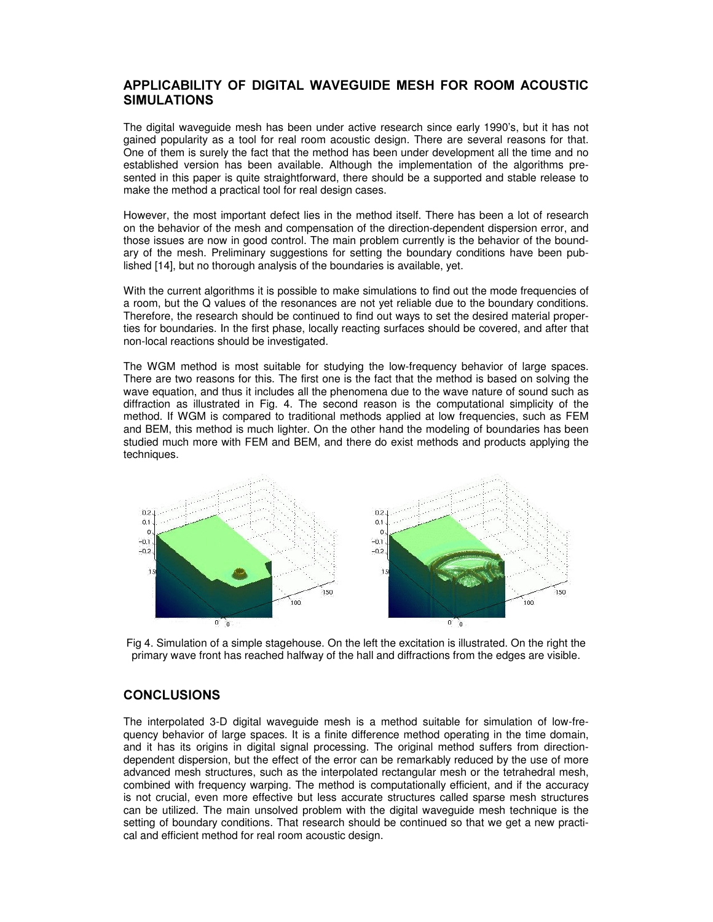## APPLICABILITY OF DIGITAL WAVEGUIDE MESH FOR ROOM ACOUSTIC **SIMULATIONS**

The digital waveguide mesh has been under active research since early 1990's, but it has not gained popularity as a tool for real room acoustic design. There are several reasons for that. One of them is surely the fact that the method has been under development all the time and no established version has been available. Although the implementation of the algorithms presented in this paper is quite straightforward, there should be a supported and stable release to make the method a practical tool for real design cases.

However, the most important defect lies in the method itself. There has been a lot of research on the behavior of the mesh and compensation of the direction-dependent dispersion error, and those issues are now in good control. The main problem currently is the behavior of the boundary of the mesh. Preliminary suggestions for setting the boundary conditions have been published [14], but no thorough analysis of the boundaries is available, yet.

With the current algorithms it is possible to make simulations to find out the mode frequencies of a room, but the Q values of the resonances are not yet reliable due to the boundary conditions. Therefore, the research should be continued to find out ways to set the desired material properties for boundaries. In the first phase, locally reacting surfaces should be covered, and after that non-local reactions should be investigated.

The WGM method is most suitable for studying the low-frequency behavior of large spaces. There are two reasons for this. The first one is the fact that the method is based on solving the wave equation, and thus it includes all the phenomena due to the wave nature of sound such as diffraction as illustrated in Fig. 4. The second reason is the computational simplicity of the method. If WGM is compared to traditional methods applied at low frequencies, such as FEM and BEM, this method is much lighter. On the other hand the modeling of boundaries has been studied much more with FEM and BEM, and there do exist methods and products applying the techniques.



Fig 4. Simulation of a simple stagehouse. On the left the excitation is illustrated. On the right the primary wave front has reached halfway of the hall and diffractions from the edges are visible.

### **CONCLUSIONS**

The interpolated 3-D digital waveguide mesh is a method suitable for simulation of low-frequency behavior of large spaces. It is a finite difference method operating in the time domain, and it has its origins in digital signal processing. The original method suffers from directiondependent dispersion, but the effect of the error can be remarkably reduced by the use of more advanced mesh structures, such as the interpolated rectangular mesh or the tetrahedral mesh, combined with frequency warping. The method is computationally efficient, and if the accuracy is not crucial, even more effective but less accurate structures called sparse mesh structures can be utilized. The main unsolved problem with the digital waveguide mesh technique is the setting of boundary conditions. That research should be continued so that we get a new practical and efficient method for real room acoustic design.